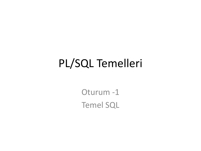## PL/SQL Temelleri

Oturum -1 Temel SQL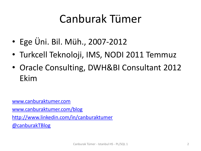## Canburak Tümer

- Ege Üni. Bil. Müh., 2007-2012
- Turkcell Teknoloji, IMS, NODI 2011 Temmuz
- Oracle Consulting, DWH&BI Consultant 2012 Ekim

[www.canburaktumer.com](http://www.canburaktumer.com/)

[www.canburaktumer.com/blog](http://www.canburaktumer.com/blog)

<http://www.linkedin.com/in/canburaktumer>

[@canburakTBlog](http://www.twitter.com/canburaktblog)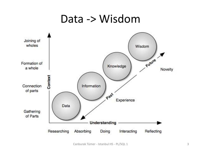#### Data -> Wisdom

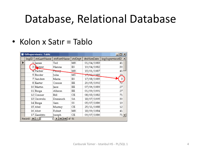## Database, Relational Database

#### • Kolon x Satır = Tablo

| tblSupervisors: Table<br><u>_  미 × </u>                                |       |             |                   |         |                        |                 |
|------------------------------------------------------------------------|-------|-------------|-------------------|---------|------------------------|-----------------|
|                                                                        | IngID | strLastName | strFirstName      | strDept | dteHireDate            | IngSupervisorID |
| ▶                                                                      |       | 1 James     | Ted               | МΚ      | 01/04/1983             | 41              |
|                                                                        |       | 3 Harper    | Hanna             | ES      | 19/04/1982             | 30              |
|                                                                        |       | 4 Packer    | Fen <del>ny</del> | мк      | 15/01/1987             | 41              |
|                                                                        |       | 5 Binder    | Julia             | MS      | <del>17/02/1</del> 985 |                 |
|                                                                        |       | 7 Sanders   | Maria             | ES      | 17/08/1985             | З               |
|                                                                        |       | 8 Easter    | Connie            | EE      | 20/05/1992             | 72              |
|                                                                        |       | 10 Martin   | Jane              | ЕE      | 07/06/1989             | 27              |
|                                                                        |       | 11 Binga    | Allison           | EE      | 01/09/1991             | 27              |
|                                                                        |       | 12 Conner   | Bi11              | CЕ      | 08/03/1982             | 71              |
|                                                                        |       | 13 Osowski  | Dominick          | SA      | 18/07/1995             | 30              |
|                                                                        |       | 14 Binga    | Sam               | SS      | 05/07/1986             | 19              |
|                                                                        |       | 15 Abel     | Murray            | CЕ      | 25/11/1988             | 12              |
|                                                                        |       | 16 Abot     | Robert            | МΚ      | 18/09/1984             | 41              |
|                                                                        |       | 17 Zambito  | Joseph            | CЕ      | 09/07/1986             | 71 ▼            |
| $1$ $\rightarrow$ $\rightarrow$ $\rightarrow$<br>Record: 14<br>of $51$ |       |             |                   |         |                        |                 |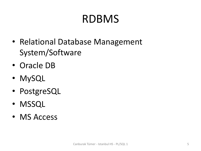## RDBMS

- Relational Database Management System/Software
- Oracle DB
- MySQL
- PostgreSQL
- MSSQL
- MS Access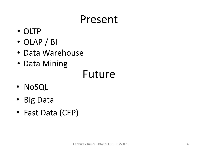### Present

- OLTP
- OLAP / BI
- Data Warehouse
- Data Mining

### Future

- NoSQL
- Big Data
- Fast Data (CEP)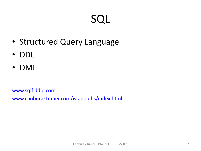## SQL

- Structured Query Language
- DDL
- DML

[www.sqlfiddle.com](http://www.sqlfiddle.com/) [www.canburaktumer.com/istanbulhs/index.html](http://www.canburaktumer.com/istanbulhs/index.html)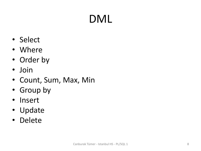# DML

- Select
- Where
- Order by
- Join
- Count, Sum, Max, Min
- Group by
- Insert
- Update
- Delete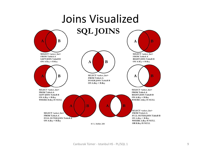